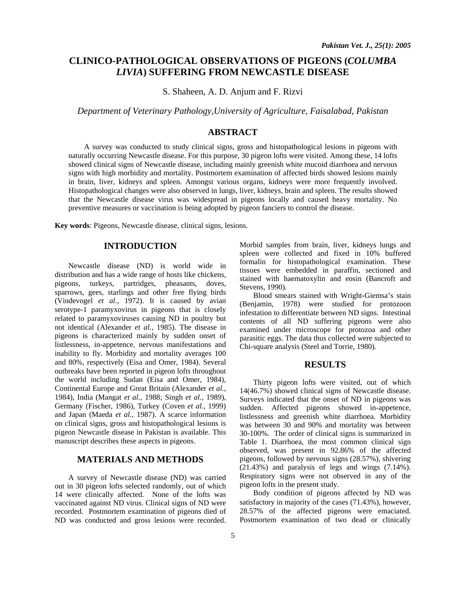# **CLINICO-PATHOLOGICAL OBSERVATIONS OF PIGEONS (***COLUMBA LIVIA***) SUFFERING FROM NEWCASTLE DISEASE**

S. Shaheen, A. D. Anjum and F. Rizvi

*Department of Veterinary Pathology,University of Agriculture, Faisalabad, Pakistan* 

# **ABSTRACT**

 A survey was conducted to study clinical signs, gross and histopathological lesions in pigeons with naturally occurring Newcastle disease. For this purpose, 30 pigeon lofts were visited. Among these, 14 lofts showed clinical signs of Newcastle disease, including mainly greenish white mucoid diarrhoea and nervous signs with high morbidity and mortality. Postmortem examination of affected birds showed lesions mainly in brain, liver, kidneys and spleen. Amongst various organs, kidneys were more frequently involved. Histopathological changes were also observed in lungs, liver, kidneys, brain and spleen. The results showed that the Newcastle disease virus was widespread in pigeons locally and caused heavy mortality. No preventive measures or vaccination is being adopted by pigeon fanciers to control the disease.

**Key words**: Pigeons, Newcastle disease, clinical signs, lesions.

## **INTRODUCTION**

 Newcastle disease (ND) is world wide in distribution and has a wide range of hosts like chickens, pigeons, turkeys, partridges, pheasants, doves, sparrows, gees, starlings and other free flying birds (Vindevogel *et al.,* 1972). It is caused by avian serotype-1 paramyxovirus in pigeons that is closely related to paramyxoviruses causing ND in poultry but not identical (Alexander *et al.,* 1985). The disease in pigeons is characterized mainly by sudden onset of listlessness, in-appetence, nervous manifestations and inability to fly. Morbidity and mortality averages 100 and 80%, respectively (Eisa and Omer, 1984). Several outbreaks have been reported in pigeon lofts throughout the world including Sudan (Eisa and Omer, 1984), Continental Europe and Great Britain (Alexander *et al.,*  1984), India (Mangat *et al.,* 1988; Singh *et al.,* 1989), Germany (Fischer, 1986), Turkey (Coven *et al*., 1999) and Japan (Maeda *et al.,* 1987). A scarce information on clinical signs, gross and histopathological lesions is pigeon Newcastle disease in Pakistan is available. This manuscript describes these aspects in pigeons.

# **MATERIALS AND METHODS**

 A survey of Newcastle disease (ND) was carried out in 30 pigeon lofts selected randomly, out of which 14 were clinically affected. None of the lofts was vaccinated against ND virus. Clinical signs of ND were recorded. Postmortem examination of pigeons died of ND was conducted and gross lesions were recorded.

Morbid samples from brain, liver, kidneys lungs and spleen were collected and fixed in 10% buffered formalin for histopathological examination. These tissues were embedded in paraffin, sectioned and stained with haematoxylin and eosin (Bancroft and Stevens, 1990).

 Blood smears stained with Wright-Giemsa's stain (Benjamin, 1978) were studied for protozoon infestation to differentiate between ND signs. Intestinal contents of all ND suffering pigeons were also examined under microscope for protozoa and other parasitic eggs. The data thus collected were subjected to Chi-square analysis (Steel and Torrie, 1980).

## **RESULTS**

 Thirty pigeon lofts were visited, out of which 14(46.7%) showed clinical signs of Newcastle disease. Surveys indicated that the onset of ND in pigeons was sudden. Affected pigeons showed in-appetence, listlessness and greenish white diarrhoea. Morbidity was between 30 and 90% and mortality was between 30-100%. The order of clinical signs is summarized in Table 1. Diarrhoea, the most common clinical sign observed, was present in 92.86% of the affected pigeons, followed by nervous signs (28.57%), shivering (21.43%) and paralysis of legs and wings (7.14%). Respiratory signs were not observed in any of the pigeon lofts in the present study.

 Body condition of pigeons affected by ND was satisfactory in majority of the cases (71.43%), however, 28.57% of the affected pigeons were emaciated. Postmortem examination of two dead or clinically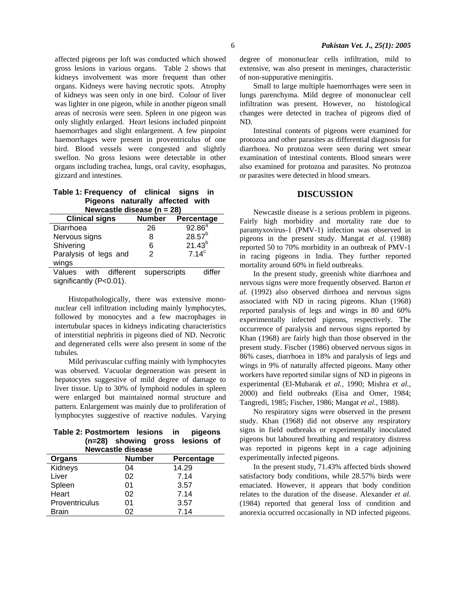affected pigeons per loft was conducted which showed gross lesions in various organs. Table 2 shows that kidneys involvement was more frequent than other organs. Kidneys were having necrotic spots. Atrophy of kidneys was seen only in one bird. Colour of liver was lighter in one pigeon, while in another pigeon small areas of necrosis were seen. Spleen in one pigeon was only slightly enlarged. Heart lesions included pinpoint haemorrhages and slight enlargement. A few pinpoint haemorrhages were present in proventriculus of one bird. Blood vessels were congested and slightly swellon. No gross lesions were detectable in other organs including trachea, lungs, oral cavity, esophagus, gizzard and intestines.

#### **Table 1: Frequency of clinical signs in Pigeons naturally affected with Newcastle disease (n = 28)**

| nonoasuc alscasc |                   |  |  |  |  |  |  |
|------------------|-------------------|--|--|--|--|--|--|
| <b>Number</b>    | Percentage        |  |  |  |  |  |  |
| 26               | $92.86^{a}$       |  |  |  |  |  |  |
| 8                | $28.57^{b}$       |  |  |  |  |  |  |
| 6                | $21.43^{b}$       |  |  |  |  |  |  |
| 2                | 7.14 <sup>c</sup> |  |  |  |  |  |  |
|                  |                   |  |  |  |  |  |  |
| different        | differ            |  |  |  |  |  |  |
|                  | superscripts      |  |  |  |  |  |  |

significantly (P<0.01).

 Histopathologically, there was extensive mononuclear cell infiltration including mainly lymphocytes, followed by monocytes and a few macrophages in intertubular spaces in kidneys indicating characteristics of interstitial nephritis in pigeons died of ND. Necrotic and degenerated cells were also present in some of the tubules.

 Mild perivascular cuffing mainly with lymphocytes was observed. Vacuolar degeneration was present in hepatocytes suggestive of mild degree of damage to liver tissue. Up to 30% of lymphoid nodules in spleen were enlarged but maintained normal structure and pattern. Enlargement was mainly due to proliferation of lymphocytes suggestive of reactive nodules. Varying

|  | Table 2: Postmortem lesions in pigeons |  |  |
|--|----------------------------------------|--|--|
|  | (n=28) showing gross lesions of        |  |  |
|  | Newcootle disease                      |  |  |

| <b>Newcastle disease</b> |               |            |  |  |
|--------------------------|---------------|------------|--|--|
| Organs                   | <b>Number</b> | Percentage |  |  |
| Kidneys                  | 04            | 14.29      |  |  |
| Liver                    | 02            | 7.14       |  |  |
| Spleen                   | 01            | 3.57       |  |  |
| Heart                    | 02            | 7.14       |  |  |
| Proventriculus           | 01            | 3.57       |  |  |
| <b>Brain</b>             | 02            | 7.14       |  |  |

degree of mononuclear cells infiltration, mild to extensive, was also present in meninges, characteristic of non-suppurative meningitis.

 Small to large multiple haemorrhages were seen in lungs parenchyma. Mild degree of mononuclear cell infiltration was present. However, no histological changes were detected in trachea of pigeons died of ND.

 Intestinal contents of pigeons were examined for protozoa and other parasites as differential diagnosis for diarrhoea. No protozoa were seen during wet smear examination of intestinal contents. Blood smears were also examined for protozoa and parasites. No protozoa or parasites were detected in blood smears.

#### **DISCUSSION**

 Newcastle disease is a serious problem in pigeons. Fairly high morbidity and mortality rate due to paramyxovirus-1 (PMV-1) infection was observed in pigeons in the present study. Mangat *et al.* (1988) reported 50 to 70% morbidity in an outbreak of PMV-1 in racing pigeons in India. They further reported mortality around 60% in field outbreaks.

 In the present study, greenish white diarrhoea and nervous signs were more frequently observed. Barton *et al.* (1992) also observed dirrhoea and nervous signs associated with ND in racing pigeons. Khan (1968) reported paralysis of legs and wings in 80 and 60% experimentally infected pigeons, respectively. The occurrence of paralysis and nervous signs reported by Khan (1968) are fairly high than those observed in the present study. Fischer (1986) observed nervous signs in 86% cases, diarrhoea in 18% and paralysis of legs and wings in 9% of naturally affected pigeons. Many other workers have reported similar signs of ND in pigeons in experimental (El-Mubarak *et al.,* 1990; Mishra *et al.,* 2000) and field outbreaks (Eisa and Omer, 1984; Tangredi, 1985; Fischer, 1986; Mangat *et al.,* 1988).

 No respiratory signs were observed in the present study. Khan (1968) did not observe any respiratory signs in field outbreaks or experimentally inoculated pigeons but laboured breathing and respiratory distress was reported in pigeons kept in a cage adjoining experimentally infected pigeons.

 In the present study, 71.43% affected birds showed satisfactory body conditions, while 28.57% birds were emaciated. However, it appears that body condition relates to the duration of the disease. Alexander *et al*. (1984) reported that general loss of condition and anorexia occurred occasionally in ND infected pigeons.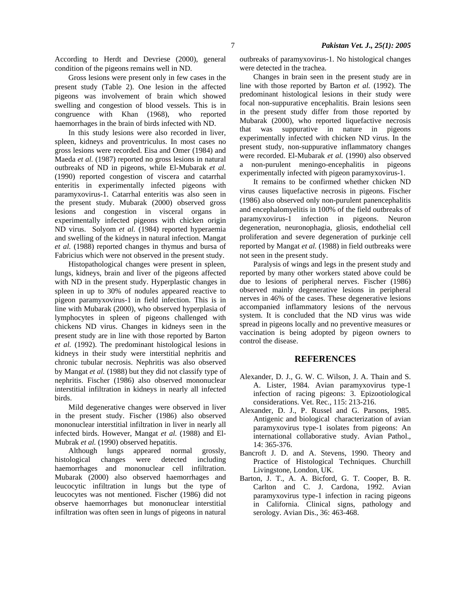According to Herdt and Devriese (2000), general condition of the pigeons remains well in ND.

 Gross lesions were present only in few cases in the present study (Table 2). One lesion in the affected pigeons was involvement of brain which showed swelling and congestion of blood vessels. This is in congruence with Khan (1968), who reported haemorrhages in the brain of birds infected with ND.

 In this study lesions were also recorded in liver, spleen, kidneys and proventriculus. In most cases no gross lesions were recorded. Eisa and Omer (1984) and Maeda *et al.* (1987) reported no gross lesions in natural outbreaks of ND in pigeons, while El-Mubarak *et al*. (1990) reported congestion of viscera and catarrhal enteritis in experimentally infected pigeons with paramyxovirus-1. Catarrhal enteritis was also seen in the present study. Mubarak (2000) observed gross lesions and congestion in visceral organs in experimentally infected pigeons with chicken origin ND virus. Solyom *et al.* (1984) reported hyperaemia and swelling of the kidneys in natural infection. Mangat *et al.* (1988) reported changes in thymus and bursa of Fabricius which were not observed in the present study.

 Histopathological changes were present in spleen, lungs, kidneys, brain and liver of the pigeons affected with ND in the present study. Hyperplastic changes in spleen in up to 30% of nodules appeared reactive to pigeon paramyxovirus-1 in field infection. This is in line with Mubarak (2000), who observed hyperplasia of lymphocytes in spleen of pigeons challenged with chickens ND virus. Changes in kidneys seen in the present study are in line with those reported by Barton *et al.* (1992). The predominant histological lesions in kidneys in their study were interstitial nephritis and chronic tubular necrosis. Nephritis was also observed by Mangat *et al.* (1988) but they did not classify type of nephritis. Fischer (1986) also observed mononuclear interstitial infiltration in kidneys in nearly all infected birds.

 Mild degenerative changes were observed in liver in the present study. Fischer (1986) also observed mononuclear interstitial infiltration in liver in nearly all infected birds. However, Mangat *et al.* (1988) and El-Mubrak *et al.* (1990) observed hepatitis.

 Although lungs appeared normal grossly, histological changes were detected including haemorrhages and mononuclear cell infiltration. Mubarak (2000) also observed haemorrhages and leucocytic infiltration in lungs but the type of leucocytes was not mentioned. Fischer (1986) did not observe haemorrhages but mononuclear interstitial infiltration was often seen in lungs of pigeons in natural

outbreaks of paramyxovirus-1. No histological changes were detected in the trachea.

 Changes in brain seen in the present study are in line with those reported by Barton *et al.* (1992). The predominant histological lesions in their study were focal non-suppurative encephalitis. Brain lesions seen in the present study differ from those reported by Mubarak (2000), who reported liquefactive necrosis that was suppurative in nature in pigeons experimentally infected with chicken ND virus. In the present study, non-suppurative inflammatory changes were recorded. El-Mubarak *et al.* (1990) also observed a non-purulent meningo-encephalitis in pigeons experimentally infected with pigeon paramyxovirus-1.

 It remains to be confirmed whether chicken ND virus causes liquefactive necrosis in pigeons. Fischer (1986) also observed only non-purulent panencephalitis and encephalomyelitis in 100% of the field outbreaks of paramyxovirus-1 infection in pigeons. Neuron degeneration, neuronophagia, gliosis, endothelial cell proliferation and severe degeneration of purkinje cell reported by Mangat *et al.* (1988) in field outbreaks were not seen in the present study.

 Paralysis of wings and legs in the present study and reported by many other workers stated above could be due to lesions of peripheral nerves. Fischer (1986) observed mainly degenerative lesions in peripheral nerves in 46% of the cases. These degenerative lesions accompanied inflammatory lesions of the nervous system. It is concluded that the ND virus was wide spread in pigeons locally and no preventive measures or vaccination is being adopted by pigeon owners to control the disease.

#### **REFERENCES**

- Alexander, D. J., G. W. C. Wilson, J. A. Thain and S. A. Lister, 1984. Avian paramyxovirus type-1 infection of racing pigeons: 3. Epizootiological considerations. Vet. Rec.*,* 115: 213-216.
- Alexander, D. J., P. Russel and G. Parsons, 1985. Antigenic and biological characterization of avian paramyxovirus type-1 isolates from pigeons: An international collaborative study. Avian Pathol., 14: 365-376.
- Bancroft J. D. and A. Stevens, 1990. Theory and Practice of Histological Techniques. Churchill Livingstone, London, UK.
- Barton, J. T., A. A. Bicford, G. T. Cooper, B. R. Carlton and C. J. Cardona, 1992. Avian paramyxovirus type-1 infection in racing pigeons in California. Clinical signs, pathology and serology. Avian Dis., 36: 463-468.